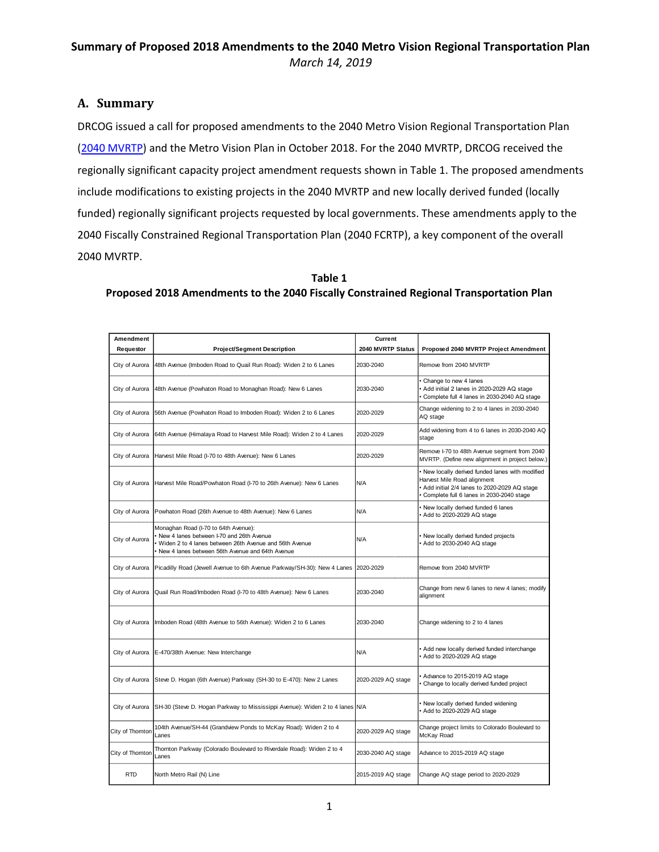### **A. Summary**

DRCOG issued a call for proposed amendments to the 2040 Metro Vision Regional Transportation Plan [\(2040 MVRTP\)](https://drcog.org/sites/default/files/resources/FINAL%20-%202040%20MVRTP%20-%20April%202018.pdf) and the Metro Vision Plan in October 2018. For the 2040 MVRTP, DRCOG received the regionally significant capacity project amendment requests shown in Table 1. The proposed amendments include modifications to existing projects in the 2040 MVRTP and new locally derived funded (locally funded) regionally significant projects requested by local governments. These amendments apply to the 2040 Fiscally Constrained Regional Transportation Plan (2040 FCRTP), a key component of the overall 2040 MVRTP.

| <b>Amendment</b><br>Requestor | <b>Project/Segment Description</b>                                                                                                                                                            | Current<br>2040 MVRTP Status | Proposed 2040 MVRTP Project Amendment                                                                                                                                    |
|-------------------------------|-----------------------------------------------------------------------------------------------------------------------------------------------------------------------------------------------|------------------------------|--------------------------------------------------------------------------------------------------------------------------------------------------------------------------|
| City of Aurora                | 48th Avenue (Imboden Road to Quail Run Road): Widen 2 to 6 Lanes                                                                                                                              | 2030-2040                    | Remove from 2040 MVRTP                                                                                                                                                   |
| City of Aurora                | 48th Avenue (Powhaton Road to Monaghan Road): New 6 Lanes                                                                                                                                     | 2030-2040                    | Change to new 4 lanes<br>Add initial 2 lanes in 2020-2029 AQ stage<br>Complete full 4 lanes in 2030-2040 AQ stage                                                        |
| City of Aurora                | 56th Avenue (Powhaton Road to Imboden Road): Widen 2 to 6 Lanes                                                                                                                               | 2020-2029                    | Change widening to 2 to 4 lanes in 2030-2040<br>AQ stage                                                                                                                 |
| City of Aurora                | 64th Avenue (Himalaya Road to Harvest Mile Road): Widen 2 to 4 Lanes                                                                                                                          | 2020-2029                    | Add widening from 4 to 6 lanes in 2030-2040 AQ<br>stage                                                                                                                  |
| City of Aurora                | Harvest Mile Road (I-70 to 48th Avenue): New 6 Lanes                                                                                                                                          | 2020-2029                    | Remove I-70 to 48th Avenue segment from 2040<br>MVRTP. (Define new alignment in project below.)                                                                          |
| City of Aurora                | Harvest Mile Road/Powhaton Road (I-70 to 26th Avenue): New 6 Lanes                                                                                                                            | N/A                          | New locally derived funded lanes with modified<br>Harvest Mile Road alignment<br>Add initial 2/4 lanes to 2020-2029 AQ stage<br>Complete full 6 lanes in 2030-2040 stage |
| City of Aurora                | Powhaton Road (26th Avenue to 48th Avenue): New 6 Lanes                                                                                                                                       | N/A                          | New locally derived funded 6 lanes<br>Add to 2020-2029 AQ stage                                                                                                          |
| City of Aurora                | Monaghan Road (I-70 to 64th Avenue):<br>New 4 lanes between I-70 and 26th Avenue<br>Widen 2 to 4 lanes between 26th Avenue and 56th Avenue<br>New 4 lanes between 56th Avenue and 64th Avenue | N/A                          | New locally derived funded projects<br>Add to 2030-2040 AQ stage                                                                                                         |
| City of Aurora                | Picadilly Road (Jewell Avenue to 6th Avenue Parkway/SH-30): New 4 Lanes                                                                                                                       | 2020-2029                    | Remove from 2040 MVRTP                                                                                                                                                   |
| City of Aurora                | Quail Run Road/Imboden Road (I-70 to 48th Avenue): New 6 Lanes                                                                                                                                | 2030-2040                    | Change from new 6 lanes to new 4 lanes; modify<br>alignment                                                                                                              |
| City of Aurora                | Imboden Road (48th Avenue to 56th Avenue): Widen 2 to 6 Lanes                                                                                                                                 | 2030-2040                    | Change widening to 2 to 4 lanes                                                                                                                                          |
| City of Aurora                | E-470/38th Avenue: New Interchange                                                                                                                                                            | N/A                          | Add new locally derived funded interchange<br>Add to 2020-2029 AQ stage                                                                                                  |
| City of Aurora                | Steve D. Hogan (6th Avenue) Parkway (SH-30 to E-470): New 2 Lanes                                                                                                                             | 2020-2029 AQ stage           | Advance to 2015-2019 AQ stage<br>Change to locally derived funded project                                                                                                |
| City of Aurora                | SH-30 (Steve D. Hogan Parkway to Mississippi Avenue): Widen 2 to 4 lanes N/A                                                                                                                  |                              | New locally derived funded widening<br>Add to 2020-2029 AQ stage                                                                                                         |
| City of Thornton              | 104th Avenue/SH-44 (Grandview Ponds to McKay Road): Widen 2 to 4<br>Lanes                                                                                                                     | 2020-2029 AQ stage           | Change project limits to Colorado Boulevard to<br>McKay Road                                                                                                             |
| City of Thornton              | Thornton Parkway (Colorado Boulevard to Riverdale Road): Widen 2 to 4<br>Lanes                                                                                                                | 2030-2040 AQ stage           | Advance to 2015-2019 AQ stage                                                                                                                                            |
| RTD                           | North Metro Rail (N) Line                                                                                                                                                                     | 2015-2019 AQ stage           | Change AQ stage period to 2020-2029                                                                                                                                      |

#### **Table 1 Proposed 2018 Amendments to the 2040 Fiscally Constrained Regional Transportation Plan**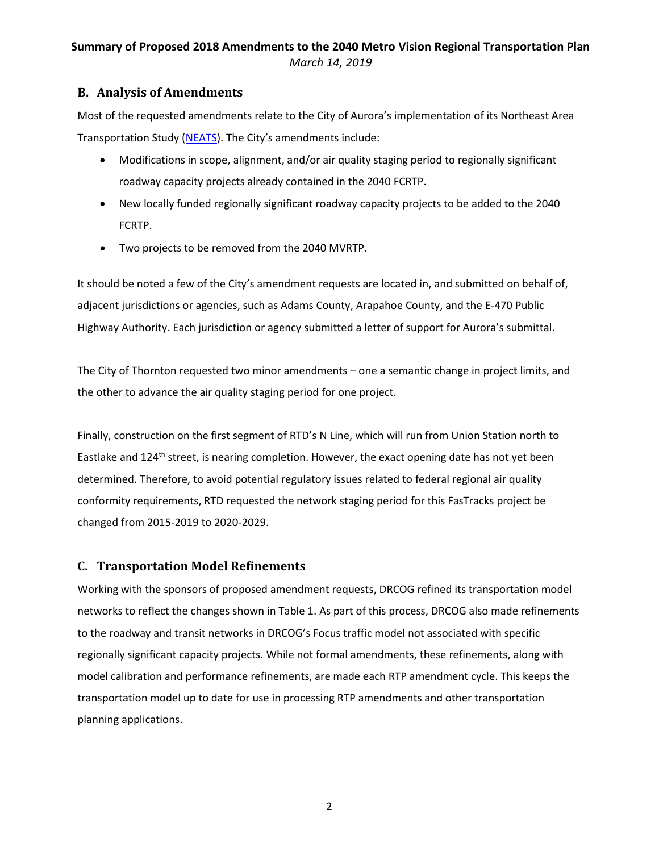### **B. Analysis of Amendments**

Most of the requested amendments relate to the City of Aurora's implementation of its Northeast Area Transportation Study [\(NEATS](https://www.auroragov.org/business_services/planning/plans_and_studies/transportation_planning/NEATS)). The City's amendments include:

- Modifications in scope, alignment, and/or air quality staging period to regionally significant roadway capacity projects already contained in the 2040 FCRTP.
- New locally funded regionally significant roadway capacity projects to be added to the 2040 FCRTP.
- Two projects to be removed from the 2040 MVRTP.

It should be noted a few of the City's amendment requests are located in, and submitted on behalf of, adjacent jurisdictions or agencies, such as Adams County, Arapahoe County, and the E-470 Public Highway Authority. Each jurisdiction or agency submitted a letter of support for Aurora's submittal.

The City of Thornton requested two minor amendments – one a semantic change in project limits, and the other to advance the air quality staging period for one project.

Finally, construction on the first segment of RTD's N Line, which will run from Union Station north to Eastlake and 124<sup>th</sup> street, is nearing completion. However, the exact opening date has not yet been determined. Therefore, to avoid potential regulatory issues related to federal regional air quality conformity requirements, RTD requested the network staging period for this FasTracks project be changed from 2015-2019 to 2020-2029.

#### **C. Transportation Model Refinements**

Working with the sponsors of proposed amendment requests, DRCOG refined its transportation model networks to reflect the changes shown in Table 1. As part of this process, DRCOG also made refinements to the roadway and transit networks in DRCOG's Focus traffic model not associated with specific regionally significant capacity projects. While not formal amendments, these refinements, along with model calibration and performance refinements, are made each RTP amendment cycle. This keeps the transportation model up to date for use in processing RTP amendments and other transportation planning applications.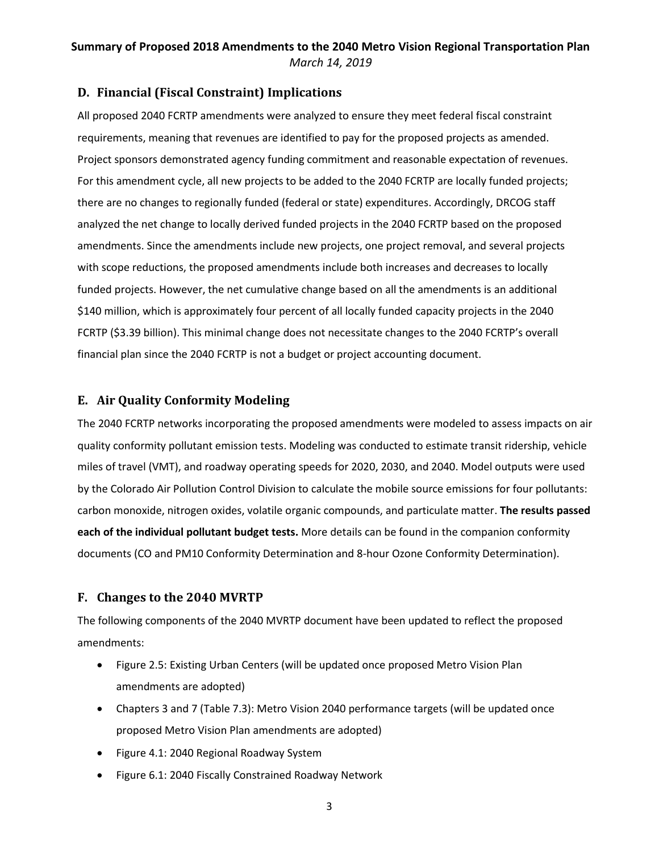### **D. Financial (Fiscal Constraint) Implications**

All proposed 2040 FCRTP amendments were analyzed to ensure they meet federal fiscal constraint requirements, meaning that revenues are identified to pay for the proposed projects as amended. Project sponsors demonstrated agency funding commitment and reasonable expectation of revenues. For this amendment cycle, all new projects to be added to the 2040 FCRTP are locally funded projects; there are no changes to regionally funded (federal or state) expenditures. Accordingly, DRCOG staff analyzed the net change to locally derived funded projects in the 2040 FCRTP based on the proposed amendments. Since the amendments include new projects, one project removal, and several projects with scope reductions, the proposed amendments include both increases and decreases to locally funded projects. However, the net cumulative change based on all the amendments is an additional \$140 million, which is approximately four percent of all locally funded capacity projects in the 2040 FCRTP (\$3.39 billion). This minimal change does not necessitate changes to the 2040 FCRTP's overall financial plan since the 2040 FCRTP is not a budget or project accounting document.

### **E. Air Quality Conformity Modeling**

The 2040 FCRTP networks incorporating the proposed amendments were modeled to assess impacts on air quality conformity pollutant emission tests. Modeling was conducted to estimate transit ridership, vehicle miles of travel (VMT), and roadway operating speeds for 2020, 2030, and 2040. Model outputs were used by the Colorado Air Pollution Control Division to calculate the mobile source emissions for four pollutants: carbon monoxide, nitrogen oxides, volatile organic compounds, and particulate matter. **The results passed each of the individual pollutant budget tests.** More details can be found in the companion conformity documents (CO and PM10 Conformity Determination and 8-hour Ozone Conformity Determination).

#### **F. Changes to the 2040 MVRTP**

The following components of the 2040 MVRTP document have been updated to reflect the proposed amendments:

- Figure 2.5: Existing Urban Centers (will be updated once proposed Metro Vision Plan amendments are adopted)
- Chapters 3 and 7 (Table 7.3): Metro Vision 2040 performance targets (will be updated once proposed Metro Vision Plan amendments are adopted)
- Figure 4.1: 2040 Regional Roadway System
- Figure 6.1: 2040 Fiscally Constrained Roadway Network